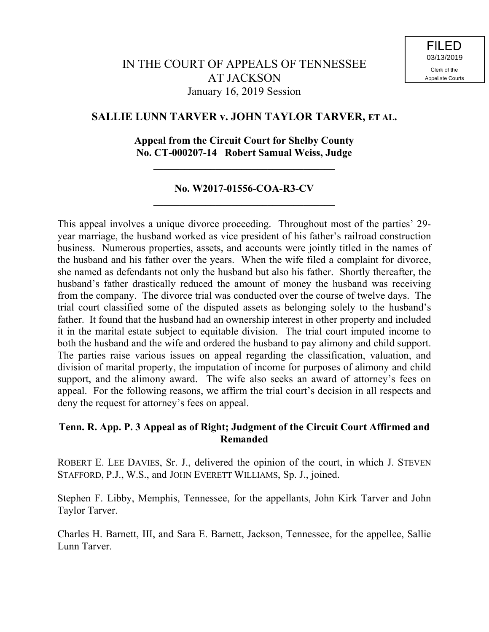# **SALLIE LUNN TARVER v. JOHN TAYLOR TARVER, ET AL.**

## **Appeal from the Circuit Court for Shelby County No. CT-000207-14 Robert Samual Weiss, Judge**

**\_\_\_\_\_\_\_\_\_\_\_\_\_\_\_\_\_\_\_\_\_\_\_\_\_\_\_\_\_\_\_\_\_\_\_**

## **No. W2017-01556-COA-R3-CV \_\_\_\_\_\_\_\_\_\_\_\_\_\_\_\_\_\_\_\_\_\_\_\_\_\_\_\_\_\_\_\_\_\_\_**

This appeal involves a unique divorce proceeding. Throughout most of the parties' 29 year marriage, the husband worked as vice president of his father's railroad construction business. Numerous properties, assets, and accounts were jointly titled in the names of the husband and his father over the years. When the wife filed a complaint for divorce, she named as defendants not only the husband but also his father. Shortly thereafter, the husband's father drastically reduced the amount of money the husband was receiving from the company. The divorce trial was conducted over the course of twelve days. The trial court classified some of the disputed assets as belonging solely to the husband's father. It found that the husband had an ownership interest in other property and included it in the marital estate subject to equitable division. The trial court imputed income to both the husband and the wife and ordered the husband to pay alimony and child support. The parties raise various issues on appeal regarding the classification, valuation, and division of marital property, the imputation of income for purposes of alimony and child support, and the alimony award. The wife also seeks an award of attorney's fees on appeal. For the following reasons, we affirm the trial court's decision in all respects and deny the request for attorney's fees on appeal.

# **Tenn. R. App. P. 3 Appeal as of Right; Judgment of the Circuit Court Affirmed and Remanded**

ROBERT E. LEE DAVIES, Sr. J., delivered the opinion of the court, in which J. STEVEN STAFFORD, P.J., W.S., and JOHN EVERETT WILLIAMS, Sp. J., joined.

Stephen F. Libby, Memphis, Tennessee, for the appellants, John Kirk Tarver and John Taylor Tarver.

Charles H. Barnett, III, and Sara E. Barnett, Jackson, Tennessee, for the appellee, Sallie Lunn Tarver.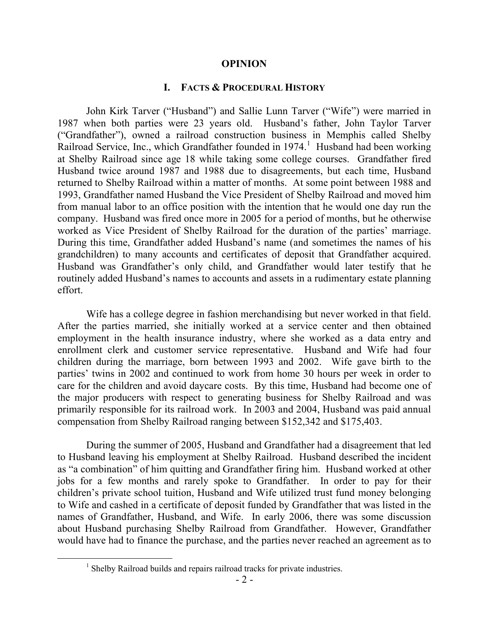#### **OPINION**

#### **I. FACTS & PROCEDURAL HISTORY**

John Kirk Tarver ("Husband") and Sallie Lunn Tarver ("Wife") were married in 1987 when both parties were 23 years old. Husband's father, John Taylor Tarver ("Grandfather"), owned a railroad construction business in Memphis called Shelby Railroad Service, Inc., which Grandfather founded in  $1974<sup>1</sup>$  Husband had been working at Shelby Railroad since age 18 while taking some college courses. Grandfather fired Husband twice around 1987 and 1988 due to disagreements, but each time, Husband returned to Shelby Railroad within a matter of months. At some point between 1988 and 1993, Grandfather named Husband the Vice President of Shelby Railroad and moved him from manual labor to an office position with the intention that he would one day run the company. Husband was fired once more in 2005 for a period of months, but he otherwise worked as Vice President of Shelby Railroad for the duration of the parties' marriage. During this time, Grandfather added Husband's name (and sometimes the names of his grandchildren) to many accounts and certificates of deposit that Grandfather acquired. Husband was Grandfather's only child, and Grandfather would later testify that he routinely added Husband's names to accounts and assets in a rudimentary estate planning effort.

Wife has a college degree in fashion merchandising but never worked in that field. After the parties married, she initially worked at a service center and then obtained employment in the health insurance industry, where she worked as a data entry and enrollment clerk and customer service representative. Husband and Wife had four children during the marriage, born between 1993 and 2002. Wife gave birth to the parties' twins in 2002 and continued to work from home 30 hours per week in order to care for the children and avoid daycare costs. By this time, Husband had become one of the major producers with respect to generating business for Shelby Railroad and was primarily responsible for its railroad work. In 2003 and 2004, Husband was paid annual compensation from Shelby Railroad ranging between \$152,342 and \$175,403.

During the summer of 2005, Husband and Grandfather had a disagreement that led to Husband leaving his employment at Shelby Railroad. Husband described the incident as "a combination" of him quitting and Grandfather firing him. Husband worked at other jobs for a few months and rarely spoke to Grandfather. In order to pay for their children's private school tuition, Husband and Wife utilized trust fund money belonging to Wife and cashed in a certificate of deposit funded by Grandfather that was listed in the names of Grandfather, Husband, and Wife. In early 2006, there was some discussion about Husband purchasing Shelby Railroad from Grandfather. However, Grandfather would have had to finance the purchase, and the parties never reached an agreement as to

 $\overline{a}$ 

<sup>&</sup>lt;sup>1</sup> Shelby Railroad builds and repairs railroad tracks for private industries.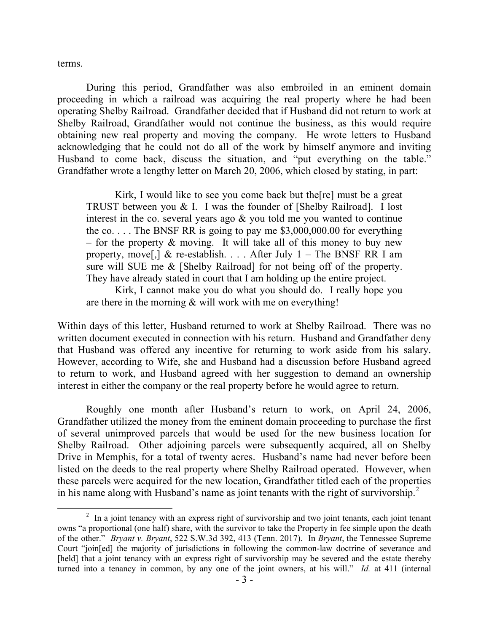terms.

During this period, Grandfather was also embroiled in an eminent domain proceeding in which a railroad was acquiring the real property where he had been operating Shelby Railroad. Grandfather decided that if Husband did not return to work at Shelby Railroad, Grandfather would not continue the business, as this would require obtaining new real property and moving the company. He wrote letters to Husband acknowledging that he could not do all of the work by himself anymore and inviting Husband to come back, discuss the situation, and "put everything on the table." Grandfather wrote a lengthy letter on March 20, 2006, which closed by stating, in part:

Kirk, I would like to see you come back but the[re] must be a great TRUST between you & I. I was the founder of [Shelby Railroad]. I lost interest in the co. several years ago  $\&$  you told me you wanted to continue the co.... The BNSF RR is going to pay me  $$3,000,000.00$  for everything – for the property  $\&$  moving. It will take all of this money to buy new property, move<sup>[1]</sup> & re-establish. . . . After July 1 – The BNSF RR I am sure will SUE me & [Shelby Railroad] for not being off of the property. They have already stated in court that I am holding up the entire project.

Kirk, I cannot make you do what you should do. I really hope you are there in the morning  $&$  will work with me on everything!

Within days of this letter, Husband returned to work at Shelby Railroad. There was no written document executed in connection with his return. Husband and Grandfather deny that Husband was offered any incentive for returning to work aside from his salary. However, according to Wife, she and Husband had a discussion before Husband agreed to return to work, and Husband agreed with her suggestion to demand an ownership interest in either the company or the real property before he would agree to return.

Roughly one month after Husband's return to work, on April 24, 2006, Grandfather utilized the money from the eminent domain proceeding to purchase the first of several unimproved parcels that would be used for the new business location for Shelby Railroad. Other adjoining parcels were subsequently acquired, all on Shelby Drive in Memphis, for a total of twenty acres. Husband's name had never before been listed on the deeds to the real property where Shelby Railroad operated. However, when these parcels were acquired for the new location, Grandfather titled each of the properties in his name along with Husband's name as joint tenants with the right of survivorship.<sup>2</sup>

 $\overline{a}$  $2\;\;$  In a joint tenancy with an express right of survivorship and two joint tenants, each joint tenant owns "a proportional (one half) share, with the survivor to take the Property in fee simple upon the death of the other." *Bryant v. Bryant*, 522 S.W.3d 392, 413 (Tenn. 2017). In *Bryant*, the Tennessee Supreme Court "join[ed] the majority of jurisdictions in following the common-law doctrine of severance and [held] that a joint tenancy with an express right of survivorship may be severed and the estate thereby turned into a tenancy in common, by any one of the joint owners, at his will." *Id.* at 411 (internal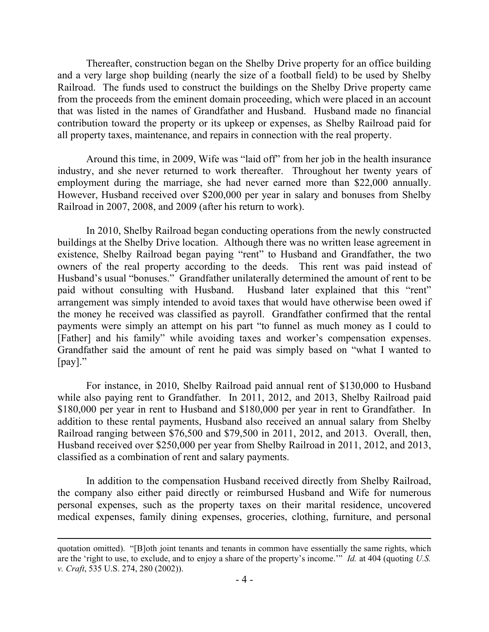Thereafter, construction began on the Shelby Drive property for an office building and a very large shop building (nearly the size of a football field) to be used by Shelby Railroad. The funds used to construct the buildings on the Shelby Drive property came from the proceeds from the eminent domain proceeding, which were placed in an account that was listed in the names of Grandfather and Husband. Husband made no financial contribution toward the property or its upkeep or expenses, as Shelby Railroad paid for all property taxes, maintenance, and repairs in connection with the real property.

Around this time, in 2009, Wife was "laid off" from her job in the health insurance industry, and she never returned to work thereafter. Throughout her twenty years of employment during the marriage, she had never earned more than \$22,000 annually. However, Husband received over \$200,000 per year in salary and bonuses from Shelby Railroad in 2007, 2008, and 2009 (after his return to work).

In 2010, Shelby Railroad began conducting operations from the newly constructed buildings at the Shelby Drive location. Although there was no written lease agreement in existence, Shelby Railroad began paying "rent" to Husband and Grandfather, the two owners of the real property according to the deeds. This rent was paid instead of Husband's usual "bonuses." Grandfather unilaterally determined the amount of rent to be paid without consulting with Husband. Husband later explained that this "rent" arrangement was simply intended to avoid taxes that would have otherwise been owed if the money he received was classified as payroll. Grandfather confirmed that the rental payments were simply an attempt on his part "to funnel as much money as I could to [Father] and his family" while avoiding taxes and worker's compensation expenses. Grandfather said the amount of rent he paid was simply based on "what I wanted to [pay]."

For instance, in 2010, Shelby Railroad paid annual rent of \$130,000 to Husband while also paying rent to Grandfather. In 2011, 2012, and 2013, Shelby Railroad paid \$180,000 per year in rent to Husband and \$180,000 per year in rent to Grandfather. In addition to these rental payments, Husband also received an annual salary from Shelby Railroad ranging between \$76,500 and \$79,500 in 2011, 2012, and 2013. Overall, then, Husband received over \$250,000 per year from Shelby Railroad in 2011, 2012, and 2013, classified as a combination of rent and salary payments.

In addition to the compensation Husband received directly from Shelby Railroad, the company also either paid directly or reimbursed Husband and Wife for numerous personal expenses, such as the property taxes on their marital residence, uncovered medical expenses, family dining expenses, groceries, clothing, furniture, and personal

quotation omitted). "[B]oth joint tenants and tenants in common have essentially the same rights, which are the 'right to use, to exclude, and to enjoy a share of the property's income.'" *Id.* at 404 (quoting *U.S. v. Craft*, 535 U.S. 274, 280 (2002)).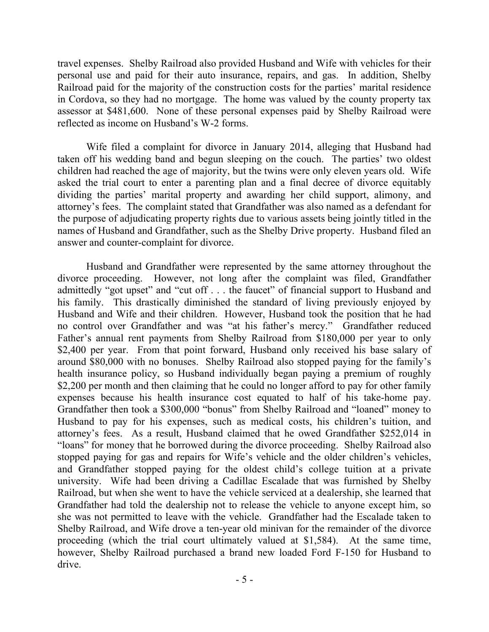travel expenses. Shelby Railroad also provided Husband and Wife with vehicles for their personal use and paid for their auto insurance, repairs, and gas. In addition, Shelby Railroad paid for the majority of the construction costs for the parties' marital residence in Cordova, so they had no mortgage. The home was valued by the county property tax assessor at \$481,600. None of these personal expenses paid by Shelby Railroad were reflected as income on Husband's W-2 forms.

Wife filed a complaint for divorce in January 2014, alleging that Husband had taken off his wedding band and begun sleeping on the couch. The parties' two oldest children had reached the age of majority, but the twins were only eleven years old. Wife asked the trial court to enter a parenting plan and a final decree of divorce equitably dividing the parties' marital property and awarding her child support, alimony, and attorney's fees. The complaint stated that Grandfather was also named as a defendant for the purpose of adjudicating property rights due to various assets being jointly titled in the names of Husband and Grandfather, such as the Shelby Drive property. Husband filed an answer and counter-complaint for divorce.

Husband and Grandfather were represented by the same attorney throughout the divorce proceeding. However, not long after the complaint was filed, Grandfather admittedly "got upset" and "cut off . . . the faucet" of financial support to Husband and his family. This drastically diminished the standard of living previously enjoyed by Husband and Wife and their children. However, Husband took the position that he had no control over Grandfather and was "at his father's mercy." Grandfather reduced Father's annual rent payments from Shelby Railroad from \$180,000 per year to only \$2,400 per year. From that point forward, Husband only received his base salary of around \$80,000 with no bonuses. Shelby Railroad also stopped paying for the family's health insurance policy, so Husband individually began paying a premium of roughly \$2,200 per month and then claiming that he could no longer afford to pay for other family expenses because his health insurance cost equated to half of his take-home pay. Grandfather then took a \$300,000 "bonus" from Shelby Railroad and "loaned" money to Husband to pay for his expenses, such as medical costs, his children's tuition, and attorney's fees.As a result, Husband claimed that he owed Grandfather \$252,014 in "loans" for money that he borrowed during the divorce proceeding.Shelby Railroad also stopped paying for gas and repairs for Wife's vehicle and the older children's vehicles, and Grandfather stopped paying for the oldest child's college tuition at a private university. Wife had been driving a Cadillac Escalade that was furnished by Shelby Railroad, but when she went to have the vehicle serviced at a dealership, she learned that Grandfather had told the dealership not to release the vehicle to anyone except him, so she was not permitted to leave with the vehicle. Grandfather had the Escalade taken to Shelby Railroad, and Wife drove a ten-year old minivan for the remainder of the divorce proceeding (which the trial court ultimately valued at \$1,584). At the same time, however, Shelby Railroad purchased a brand new loaded Ford F-150 for Husband to drive.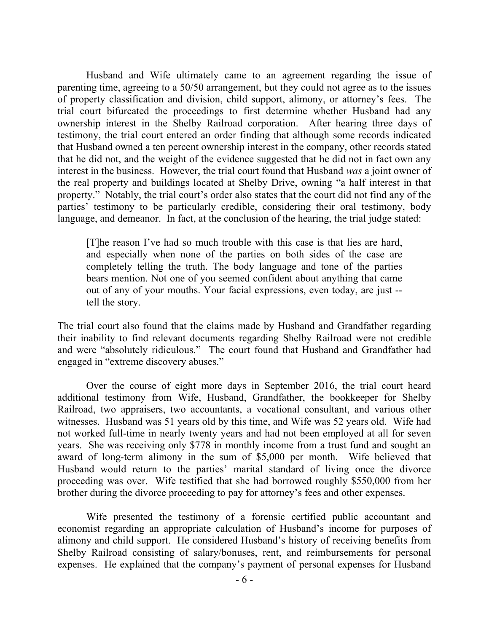Husband and Wife ultimately came to an agreement regarding the issue of parenting time, agreeing to a 50/50 arrangement, but they could not agree as to the issues of property classification and division, child support, alimony, or attorney's fees. The trial court bifurcated the proceedings to first determine whether Husband had any ownership interest in the Shelby Railroad corporation. After hearing three days of testimony, the trial court entered an order finding that although some records indicated that Husband owned a ten percent ownership interest in the company, other records stated that he did not, and the weight of the evidence suggested that he did not in fact own any interest in the business. However, the trial court found that Husband *was* a joint owner of the real property and buildings located at Shelby Drive, owning "a half interest in that property." Notably, the trial court's order also states that the court did not find any of the parties' testimony to be particularly credible, considering their oral testimony, body language, and demeanor. In fact, at the conclusion of the hearing, the trial judge stated:

[T]he reason I've had so much trouble with this case is that lies are hard, and especially when none of the parties on both sides of the case are completely telling the truth. The body language and tone of the parties bears mention. Not one of you seemed confident about anything that came out of any of your mouths. Your facial expressions, even today, are just - tell the story.

The trial court also found that the claims made by Husband and Grandfather regarding their inability to find relevant documents regarding Shelby Railroad were not credible and were "absolutely ridiculous." The court found that Husband and Grandfather had engaged in "extreme discovery abuses."

Over the course of eight more days in September 2016, the trial court heard additional testimony from Wife, Husband, Grandfather, the bookkeeper for Shelby Railroad, two appraisers, two accountants, a vocational consultant, and various other witnesses. Husband was 51 years old by this time, and Wife was 52 years old. Wife had not worked full-time in nearly twenty years and had not been employed at all for seven years. She was receiving only \$778 in monthly income from a trust fund and sought an award of long-term alimony in the sum of \$5,000 per month. Wife believed that Husband would return to the parties' marital standard of living once the divorce proceeding was over.Wife testified that she had borrowed roughly \$550,000 from her brother during the divorce proceeding to pay for attorney's fees and other expenses.

Wife presented the testimony of a forensic certified public accountant and economist regarding an appropriate calculation of Husband's income for purposes of alimony and child support. He considered Husband's history of receiving benefits from Shelby Railroad consisting of salary/bonuses, rent, and reimbursements for personal expenses.He explained that the company's payment of personal expenses for Husband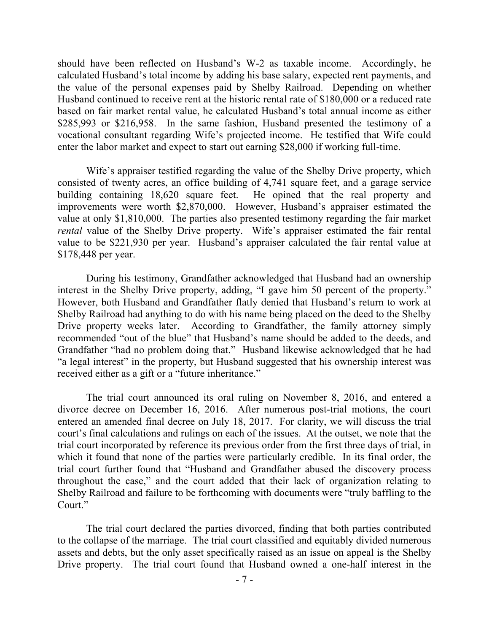should have been reflected on Husband's W-2 as taxable income. Accordingly, he calculated Husband's total income by adding his base salary, expected rent payments, and the value of the personal expenses paid by Shelby Railroad. Depending on whether Husband continued to receive rent at the historic rental rate of \$180,000 or a reduced rate based on fair market rental value, he calculated Husband's total annual income as either \$285,993 or \$216,958.In the same fashion, Husband presented the testimony of a vocational consultant regarding Wife's projected income. He testified that Wife could enter the labor market and expect to start out earning \$28,000 if working full-time.

Wife's appraiser testified regarding the value of the Shelby Drive property, which consisted of twenty acres, an office building of 4,741 square feet, and a garage service building containing 18,620 square feet. He opined that the real property and improvements were worth \$2,870,000. However, Husband's appraiser estimated the value at only \$1,810,000. The parties also presented testimony regarding the fair market *rental* value of the Shelby Drive property. Wife's appraiser estimated the fair rental value to be \$221,930 per year. Husband's appraiser calculated the fair rental value at \$178,448 per year.

During his testimony, Grandfather acknowledged that Husband had an ownership interest in the Shelby Drive property, adding, "I gave him 50 percent of the property." However, both Husband and Grandfather flatly denied that Husband's return to work at Shelby Railroad had anything to do with his name being placed on the deed to the Shelby Drive property weeks later. According to Grandfather, the family attorney simply recommended "out of the blue" that Husband's name should be added to the deeds, and Grandfather "had no problem doing that." Husband likewise acknowledged that he had "a legal interest" in the property, but Husband suggested that his ownership interest was received either as a gift or a "future inheritance."

The trial court announced its oral ruling on November 8, 2016, and entered a divorce decree on December 16, 2016.After numerous post-trial motions, the court entered an amended final decree on July 18, 2017. For clarity, we will discuss the trial court's final calculations and rulings on each of the issues. At the outset, we note that the trial court incorporated by reference its previous order from the first three days of trial, in which it found that none of the parties were particularly credible. In its final order, the trial court further found that "Husband and Grandfather abused the discovery process throughout the case," and the court added that their lack of organization relating to Shelby Railroad and failure to be forthcoming with documents were "truly baffling to the Court."

The trial court declared the parties divorced, finding that both parties contributed to the collapse of the marriage. The trial court classified and equitably divided numerous assets and debts, but the only asset specifically raised as an issue on appeal is the Shelby Drive property. The trial court found that Husband owned a one-half interest in the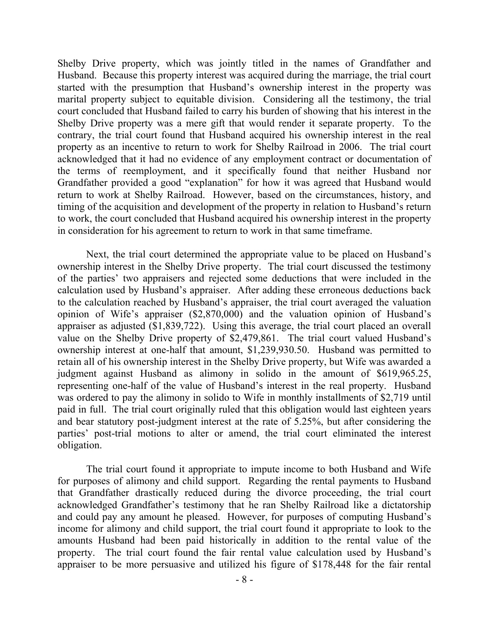Shelby Drive property, which was jointly titled in the names of Grandfather and Husband.Because this property interest was acquired during the marriage, the trial court started with the presumption that Husband's ownership interest in the property was marital property subject to equitable division. Considering all the testimony, the trial court concluded that Husband failed to carry his burden of showing that his interest in the Shelby Drive property was a mere gift that would render it separate property. To the contrary, the trial court found that Husband acquired his ownership interest in the real property as an incentive to return to work for Shelby Railroad in 2006. The trial court acknowledged that it had no evidence of any employment contract or documentation of the terms of reemployment, and it specifically found that neither Husband nor Grandfather provided a good "explanation" for how it was agreed that Husband would return to work at Shelby Railroad. However, based on the circumstances, history, and timing of the acquisition and development of the property in relation to Husband's return to work, the court concluded that Husband acquired his ownership interest in the property in consideration for his agreement to return to work in that same timeframe.

Next, the trial court determined the appropriate value to be placed on Husband's ownership interest in the Shelby Drive property. The trial court discussed the testimony of the parties' two appraisers and rejected some deductions that were included in the calculation used by Husband's appraiser. After adding these erroneous deductions back to the calculation reached by Husband's appraiser, the trial court averaged the valuation opinion of Wife's appraiser (\$2,870,000) and the valuation opinion of Husband's appraiser as adjusted (\$1,839,722). Using this average, the trial court placed an overall value on the Shelby Drive property of \$2,479,861. The trial court valued Husband's ownership interest at one-half that amount, \$1,239,930.50. Husband was permitted to retain all of his ownership interest in the Shelby Drive property, but Wife was awarded a judgment against Husband as alimony in solido in the amount of \$619,965.25, representing one-half of the value of Husband's interest in the real property. Husband was ordered to pay the alimony in solido to Wife in monthly installments of \$2,719 until paid in full. The trial court originally ruled that this obligation would last eighteen years and bear statutory post-judgment interest at the rate of 5.25%, but after considering the parties' post-trial motions to alter or amend, the trial court eliminated the interest obligation.

The trial court found it appropriate to impute income to both Husband and Wife for purposes of alimony and child support. Regarding the rental payments to Husband that Grandfather drastically reduced during the divorce proceeding, the trial court acknowledged Grandfather's testimony that he ran Shelby Railroad like a dictatorship and could pay any amount he pleased. However, for purposes of computing Husband's income for alimony and child support, the trial court found it appropriate to look to the amounts Husband had been paid historically in addition to the rental value of the property. The trial court found the fair rental value calculation used by Husband's appraiser to be more persuasive and utilized his figure of \$178,448 for the fair rental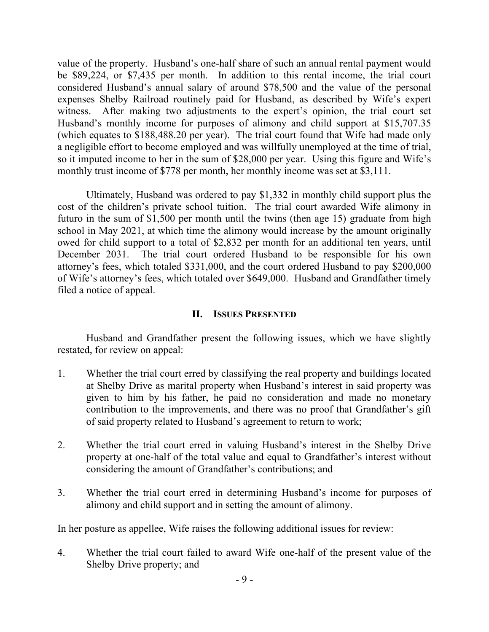value of the property. Husband's one-half share of such an annual rental payment would be \$89,224, or \$7,435 per month. In addition to this rental income, the trial court considered Husband's annual salary of around \$78,500 and the value of the personal expenses Shelby Railroad routinely paid for Husband, as described by Wife's expert witness. After making two adjustments to the expert's opinion, the trial court set Husband's monthly income for purposes of alimony and child support at \$15,707.35 (which equates to \$188,488.20 per year). The trial court found that Wife had made only a negligible effort to become employed and was willfully unemployed at the time of trial, so it imputed income to her in the sum of \$28,000 per year. Using this figure and Wife's monthly trust income of \$778 per month, her monthly income was set at \$3,111.

Ultimately, Husband was ordered to pay \$1,332 in monthly child support plus the cost of the children's private school tuition. The trial court awarded Wife alimony in futuro in the sum of \$1,500 per month until the twins (then age 15) graduate from high school in May 2021, at which time the alimony would increase by the amount originally owed for child support to a total of \$2,832 per month for an additional ten years, until December 2031. The trial court ordered Husband to be responsible for his own attorney's fees, which totaled \$331,000, and the court ordered Husband to pay \$200,000 of Wife's attorney's fees, which totaled over \$649,000. Husband and Grandfather timely filed a notice of appeal.

### **II. ISSUES PRESENTED**

Husband and Grandfather present the following issues, which we have slightly restated, for review on appeal:

- 1. Whether the trial court erred by classifying the real property and buildings located at Shelby Drive as marital property when Husband's interest in said property was given to him by his father, he paid no consideration and made no monetary contribution to the improvements, and there was no proof that Grandfather's gift of said property related to Husband's agreement to return to work;
- 2. Whether the trial court erred in valuing Husband's interest in the Shelby Drive property at one-half of the total value and equal to Grandfather's interest without considering the amount of Grandfather's contributions; and
- 3. Whether the trial court erred in determining Husband's income for purposes of alimony and child support and in setting the amount of alimony.

In her posture as appellee, Wife raises the following additional issues for review:

4. Whether the trial court failed to award Wife one-half of the present value of the Shelby Drive property; and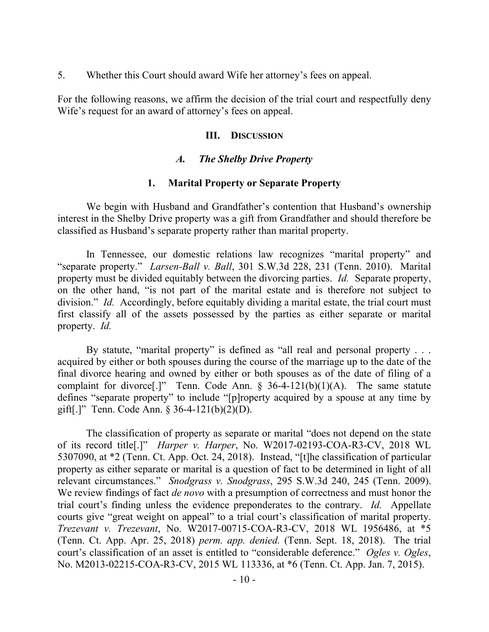5. Whether this Court should award Wife her attorney's fees on appeal.

For the following reasons, we affirm the decision of the trial court and respectfully deny Wife's request for an award of attorney's fees on appeal.

## **III. DISCUSSION**

## *A. The Shelby Drive Property*

#### **1. Marital Property or Separate Property**

We begin with Husband and Grandfather's contention that Husband's ownership interest in the Shelby Drive property was a gift from Grandfather and should therefore be classified as Husband's separate property rather than marital property.

In Tennessee, our domestic relations law recognizes "marital property" and "separate property." *Larsen-Ball v. Ball*, 301 S.W.3d 228, 231 (Tenn. 2010). Marital property must be divided equitably between the divorcing parties. *Id.* Separate property, on the other hand, "is not part of the marital estate and is therefore not subject to division." *Id.* Accordingly, before equitably dividing a marital estate, the trial court must first classify all of the assets possessed by the parties as either separate or marital property. *Id.* 

By statute, "marital property" is defined as "all real and personal property . . . acquired by either or both spouses during the course of the marriage up to the date of the final divorce hearing and owned by either or both spouses as of the date of filing of a complaint for divorce<sup>[.]</sup>" Tenn. Code Ann. §  $36-4-121(b)(1)(A)$ . The same statute defines "separate property" to include "[p]roperty acquired by a spouse at any time by gift[.]" Tenn. Code Ann. § 36-4-121(b)(2)(D).

The classification of property as separate or marital "does not depend on the state of its record title[.]" *Harper v. Harper*, No. W2017-02193-COA-R3-CV, 2018 WL 5307090, at \*2 (Tenn. Ct. App. Oct. 24, 2018). Instead, "[t]he classification of particular property as either separate or marital is a question of fact to be determined in light of all relevant circumstances." *Snodgrass v. Snodgrass*, 295 S.W.3d 240, 245 (Tenn. 2009). We review findings of fact *de novo* with a presumption of correctness and must honor the trial court's finding unless the evidence preponderates to the contrary. *Id.* Appellate courts give "great weight on appeal" to a trial court's classification of marital property. *Trezevant v. Trezevant*, No. W2017-00715-COA-R3-CV, 2018 WL 1956486, at \*5 (Tenn. Ct. App. Apr. 25, 2018) *perm. app. denied.* (Tenn. Sept. 18, 2018). The trial court's classification of an asset is entitled to "considerable deference." *Ogles v. Ogles*, No. M2013-02215-COA-R3-CV, 2015 WL 113336, at \*6 (Tenn. Ct. App. Jan. 7, 2015).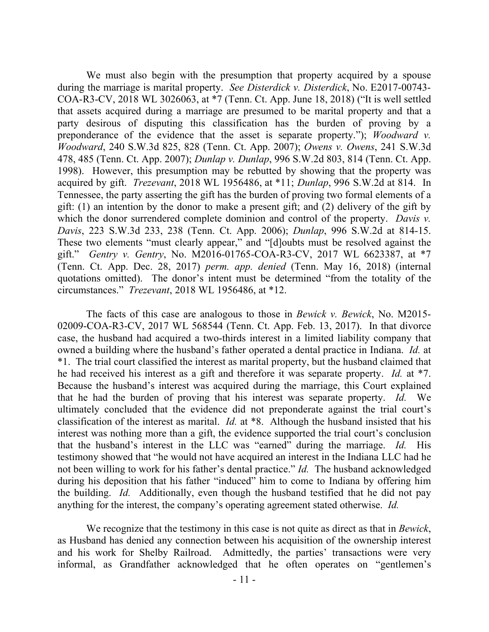We must also begin with the presumption that property acquired by a spouse during the marriage is marital property. *See Disterdick v. Disterdick*, No. E2017-00743- COA-R3-CV, 2018 WL 3026063, at \*7 (Tenn. Ct. App. June 18, 2018) ("It is well settled that assets acquired during a marriage are presumed to be marital property and that a party desirous of disputing this classification has the burden of proving by a preponderance of the evidence that the asset is separate property."); *Woodward v. Woodward*, 240 S.W.3d 825, 828 (Tenn. Ct. App. 2007); *Owens v. Owens*, 241 S.W.3d 478, 485 (Tenn. Ct. App. 2007); *Dunlap v. Dunlap*, 996 S.W.2d 803, 814 (Tenn. Ct. App. 1998). However, this presumption may be rebutted by showing that the property was acquired by gift. *Trezevant*, 2018 WL 1956486, at \*11; *Dunlap*, 996 S.W.2d at 814.In Tennessee, the party asserting the gift has the burden of proving two formal elements of a gift: (1) an intention by the donor to make a present gift; and (2) delivery of the gift by which the donor surrendered complete dominion and control of the property. *Davis v. Davis*, 223 S.W.3d 233, 238 (Tenn. Ct. App. 2006); *Dunlap*, 996 S.W.2d at 814-15. These two elements "must clearly appear," and "[d]oubts must be resolved against the gift." *Gentry v. Gentry*, No. M2016-01765-COA-R3-CV, 2017 WL 6623387, at \*7 (Tenn. Ct. App. Dec. 28, 2017) *perm. app. denied* (Tenn. May 16, 2018) (internal quotations omitted). The donor's intent must be determined "from the totality of the circumstances." *Trezevant*, 2018 WL 1956486, at \*12.

The facts of this case are analogous to those in *Bewick v. Bewick*, No. M2015- 02009-COA-R3-CV, 2017 WL 568544 (Tenn. Ct. App. Feb. 13, 2017). In that divorce case, the husband had acquired a two-thirds interest in a limited liability company that owned a building where the husband's father operated a dental practice in Indiana. *Id.* at \*1. The trial court classified the interest as marital property, but the husband claimed that he had received his interest as a gift and therefore it was separate property. *Id.* at \*7. Because the husband's interest was acquired during the marriage, this Court explained that he had the burden of proving that his interest was separate property. *Id.* We ultimately concluded that the evidence did not preponderate against the trial court's classification of the interest as marital. *Id.* at \*8. Although the husband insisted that his interest was nothing more than a gift, the evidence supported the trial court's conclusion that the husband's interest in the LLC was "earned" during the marriage. *Id.* His testimony showed that "he would not have acquired an interest in the Indiana LLC had he not been willing to work for his father's dental practice." *Id.* The husband acknowledged during his deposition that his father "induced" him to come to Indiana by offering him the building. *Id.* Additionally, even though the husband testified that he did not pay anything for the interest, the company's operating agreement stated otherwise. *Id.*

We recognize that the testimony in this case is not quite as direct as that in *Bewick*, as Husband has denied any connection between his acquisition of the ownership interest and his work for Shelby Railroad. Admittedly, the parties' transactions were very informal, as Grandfather acknowledged that he often operates on "gentlemen's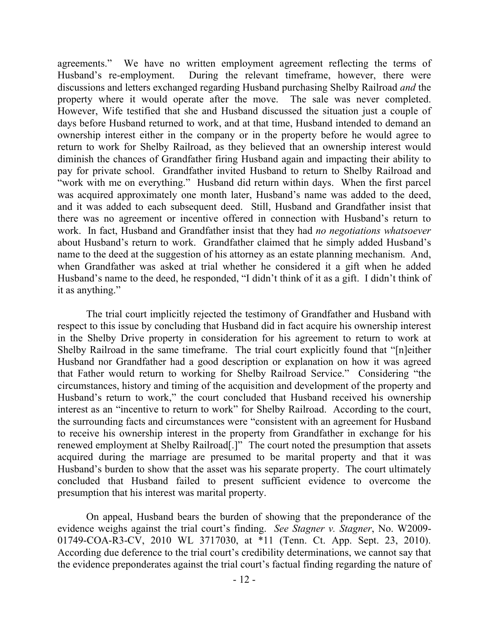agreements." We have no written employment agreement reflecting the terms of Husband's re-employment. During the relevant timeframe, however, there were discussions and letters exchanged regarding Husband purchasing Shelby Railroad *and* the property where it would operate after the move. The sale was never completed. However, Wife testified that she and Husband discussed the situation just a couple of days before Husband returned to work, and at that time, Husband intended to demand an ownership interest either in the company or in the property before he would agree to return to work for Shelby Railroad, as they believed that an ownership interest would diminish the chances of Grandfather firing Husband again and impacting their ability to pay for private school. Grandfather invited Husband to return to Shelby Railroad and "work with me on everything." Husband did return within days. When the first parcel was acquired approximately one month later, Husband's name was added to the deed, and it was added to each subsequent deed. Still, Husband and Grandfather insist that there was no agreement or incentive offered in connection with Husband's return to work. In fact, Husband and Grandfather insist that they had *no negotiations whatsoever* about Husband's return to work. Grandfather claimed that he simply added Husband's name to the deed at the suggestion of his attorney as an estate planning mechanism. And, when Grandfather was asked at trial whether he considered it a gift when he added Husband's name to the deed, he responded, "I didn't think of it as a gift. I didn't think of it as anything."

The trial court implicitly rejected the testimony of Grandfather and Husband with respect to this issue by concluding that Husband did in fact acquire his ownership interest in the Shelby Drive property in consideration for his agreement to return to work at Shelby Railroad in the same timeframe. The trial court explicitly found that "[n]either Husband nor Grandfather had a good description or explanation on how it was agreed that Father would return to working for Shelby Railroad Service." Considering "the circumstances, history and timing of the acquisition and development of the property and Husband's return to work," the court concluded that Husband received his ownership interest as an "incentive to return to work" for Shelby Railroad. According to the court, the surrounding facts and circumstances were "consistent with an agreement for Husband to receive his ownership interest in the property from Grandfather in exchange for his renewed employment at Shelby Railroad[.]" The court noted the presumption that assets acquired during the marriage are presumed to be marital property and that it was Husband's burden to show that the asset was his separate property. The court ultimately concluded that Husband failed to present sufficient evidence to overcome the presumption that his interest was marital property.

On appeal, Husband bears the burden of showing that the preponderance of the evidence weighs against the trial court's finding. *See Stagner v. Stagner*, No. W2009- 01749-COA-R3-CV, 2010 WL 3717030, at \*11 (Tenn. Ct. App. Sept. 23, 2010). According due deference to the trial court's credibility determinations, we cannot say that the evidence preponderates against the trial court's factual finding regarding the nature of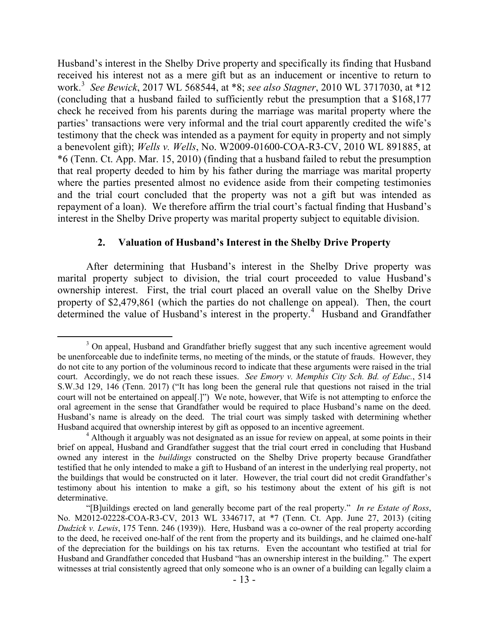Husband's interest in the Shelby Drive property and specifically its finding that Husband received his interest not as a mere gift but as an inducement or incentive to return to work.<sup>3</sup> *See Bewick*, 2017 WL 568544, at \*8; *see also Stagner*, 2010 WL 3717030, at \*12 (concluding that a husband failed to sufficiently rebut the presumption that a \$168,177 check he received from his parents during the marriage was marital property where the parties' transactions were very informal and the trial court apparently credited the wife's testimony that the check was intended as a payment for equity in property and not simply a benevolent gift); *Wells v. Wells*, No. W2009-01600-COA-R3-CV, 2010 WL 891885, at \*6 (Tenn. Ct. App. Mar. 15, 2010) (finding that a husband failed to rebut the presumption that real property deeded to him by his father during the marriage was marital property where the parties presented almost no evidence aside from their competing testimonies and the trial court concluded that the property was not a gift but was intended as repayment of a loan). We therefore affirm the trial court's factual finding that Husband's interest in the Shelby Drive property was marital property subject to equitable division.

## **2. Valuation of Husband's Interest in the Shelby Drive Property**

After determining that Husband's interest in the Shelby Drive property was marital property subject to division, the trial court proceeded to value Husband's ownership interest. First, the trial court placed an overall value on the Shelby Drive property of \$2,479,861 (which the parties do not challenge on appeal). Then, the court determined the value of Husband's interest in the property.<sup>4</sup> Husband and Grandfather

 $\overline{a}$ 

<sup>&</sup>lt;sup>3</sup> On appeal, Husband and Grandfather briefly suggest that any such incentive agreement would be unenforceable due to indefinite terms, no meeting of the minds, or the statute of frauds. However, they do not cite to any portion of the voluminous record to indicate that these arguments were raised in the trial court. Accordingly, we do not reach these issues. *See Emory v. Memphis City Sch. Bd. of Educ.*, 514 S.W.3d 129, 146 (Tenn. 2017) ("It has long been the general rule that questions not raised in the trial court will not be entertained on appeal[.]") We note, however, that Wife is not attempting to enforce the oral agreement in the sense that Grandfather would be required to place Husband's name on the deed. Husband's name is already on the deed. The trial court was simply tasked with determining whether Husband acquired that ownership interest by gift as opposed to an incentive agreement.

<sup>&</sup>lt;sup>4</sup> Although it arguably was not designated as an issue for review on appeal, at some points in their brief on appeal, Husband and Grandfather suggest that the trial court erred in concluding that Husband owned any interest in the *buildings* constructed on the Shelby Drive property because Grandfather testified that he only intended to make a gift to Husband of an interest in the underlying real property, not the buildings that would be constructed on it later. However, the trial court did not credit Grandfather's testimony about his intention to make a gift, so his testimony about the extent of his gift is not determinative.

<sup>&</sup>quot;[B]uildings erected on land generally become part of the real property." *In re Estate of Ross*, No. M2012-02228-COA-R3-CV, 2013 WL 3346717, at \*7 (Tenn. Ct. App. June 27, 2013) (citing *Dudzick v. Lewis*, 175 Tenn. 246 (1939)). Here, Husband was a co-owner of the real property according to the deed, he received one-half of the rent from the property and its buildings, and he claimed one-half of the depreciation for the buildings on his tax returns. Even the accountant who testified at trial for Husband and Grandfather conceded that Husband "has an ownership interest in the building." The expert witnesses at trial consistently agreed that only someone who is an owner of a building can legally claim a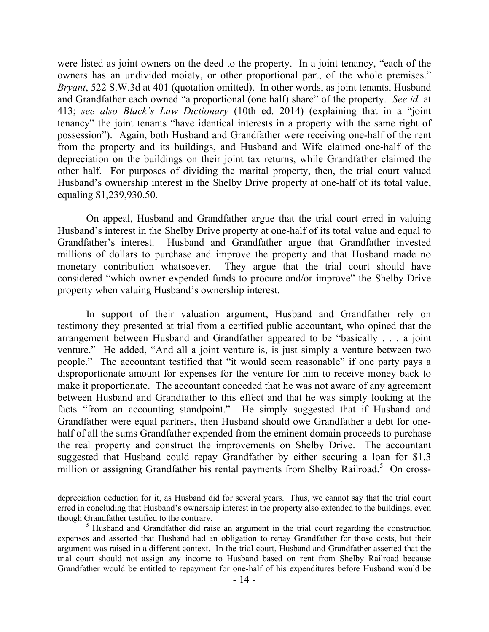were listed as joint owners on the deed to the property. In a joint tenancy, "each of the owners has an undivided moiety, or other proportional part, of the whole premises." *Bryant*, 522 S.W.3d at 401 (quotation omitted). In other words, as joint tenants, Husband and Grandfather each owned "a proportional (one half) share" of the property. *See id.* at 413; *see also Black's Law Dictionary* (10th ed. 2014) (explaining that in a "joint tenancy" the joint tenants "have identical interests in a property with the same right of possession"). Again, both Husband and Grandfather were receiving one-half of the rent from the property and its buildings, and Husband and Wife claimed one-half of the depreciation on the buildings on their joint tax returns, while Grandfather claimed the other half. For purposes of dividing the marital property, then, the trial court valued Husband's ownership interest in the Shelby Drive property at one-half of its total value, equaling \$1,239,930.50.

On appeal, Husband and Grandfather argue that the trial court erred in valuing Husband's interest in the Shelby Drive property at one-half of its total value and equal to Grandfather's interest. Husband and Grandfather argue that Grandfather invested millions of dollars to purchase and improve the property and that Husband made no monetary contribution whatsoever. They argue that the trial court should have considered "which owner expended funds to procure and/or improve" the Shelby Drive property when valuing Husband's ownership interest.

In support of their valuation argument, Husband and Grandfather rely on testimony they presented at trial from a certified public accountant, who opined that the arrangement between Husband and Grandfather appeared to be "basically . . . a joint venture." He added, "And all a joint venture is, is just simply a venture between two people." The accountant testified that "it would seem reasonable" if one party pays a disproportionate amount for expenses for the venture for him to receive money back to make it proportionate. The accountant conceded that he was not aware of any agreement between Husband and Grandfather to this effect and that he was simply looking at the facts "from an accounting standpoint." He simply suggested that if Husband and Grandfather were equal partners, then Husband should owe Grandfather a debt for onehalf of all the sums Grandfather expended from the eminent domain proceeds to purchase the real property and construct the improvements on Shelby Drive. The accountant suggested that Husband could repay Grandfather by either securing a loan for \$1.3 million or assigning Grandfather his rental payments from Shelby Railroad.<sup>5</sup> On cross-

 $\overline{a}$ 

depreciation deduction for it, as Husband did for several years. Thus, we cannot say that the trial court erred in concluding that Husband's ownership interest in the property also extended to the buildings, even though Grandfather testified to the contrary.

 $<sup>5</sup>$  Husband and Grandfather did raise an argument in the trial court regarding the construction</sup> expenses and asserted that Husband had an obligation to repay Grandfather for those costs, but their argument was raised in a different context. In the trial court, Husband and Grandfather asserted that the trial court should not assign any income to Husband based on rent from Shelby Railroad because Grandfather would be entitled to repayment for one-half of his expenditures before Husband would be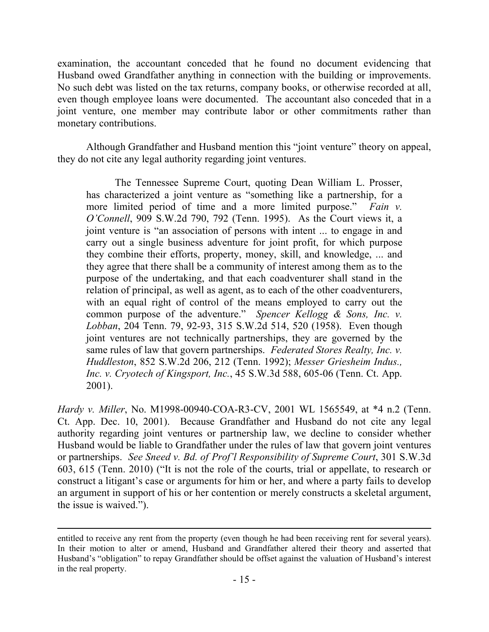examination, the accountant conceded that he found no document evidencing that Husband owed Grandfather anything in connection with the building or improvements. No such debt was listed on the tax returns, company books, or otherwise recorded at all, even though employee loans were documented. The accountant also conceded that in a joint venture, one member may contribute labor or other commitments rather than monetary contributions.

Although Grandfather and Husband mention this "joint venture" theory on appeal, they do not cite any legal authority regarding joint ventures.

The Tennessee Supreme Court, quoting Dean William L. Prosser, has characterized a joint venture as "something like a partnership, for a more limited period of time and a more limited purpose." *Fain v. O'Connell*, 909 S.W.2d 790, 792 (Tenn. 1995). As the Court views it, a joint venture is "an association of persons with intent ... to engage in and carry out a single business adventure for joint profit, for which purpose they combine their efforts, property, money, skill, and knowledge, ... and they agree that there shall be a community of interest among them as to the purpose of the undertaking, and that each coadventurer shall stand in the relation of principal, as well as agent, as to each of the other coadventurers, with an equal right of control of the means employed to carry out the common purpose of the adventure." *Spencer Kellogg & Sons, Inc. v. Lobban*, 204 Tenn. 79, 92-93, 315 S.W.2d 514, 520 (1958). Even though joint ventures are not technically partnerships, they are governed by the same rules of law that govern partnerships. *Federated Stores Realty, Inc. v. Huddleston*, 852 S.W.2d 206, 212 (Tenn. 1992); *Messer Griesheim Indus., Inc. v. Cryotech of Kingsport, Inc.*, 45 S.W.3d 588, 605-06 (Tenn. Ct. App. 2001).

*Hardy v. Miller*, No. M1998-00940-COA-R3-CV, 2001 WL 1565549, at \*4 n.2 (Tenn. Ct. App. Dec. 10, 2001). Because Grandfather and Husband do not cite any legal authority regarding joint ventures or partnership law, we decline to consider whether Husband would be liable to Grandfather under the rules of law that govern joint ventures or partnerships. *See Sneed v. Bd. of Prof'l Responsibility of Supreme Court*, 301 S.W.3d 603, 615 (Tenn. 2010) ("It is not the role of the courts, trial or appellate, to research or construct a litigant's case or arguments for him or her, and where a party fails to develop an argument in support of his or her contention or merely constructs a skeletal argument, the issue is waived.").

entitled to receive any rent from the property (even though he had been receiving rent for several years). In their motion to alter or amend, Husband and Grandfather altered their theory and asserted that Husband's "obligation" to repay Grandfather should be offset against the valuation of Husband's interest in the real property.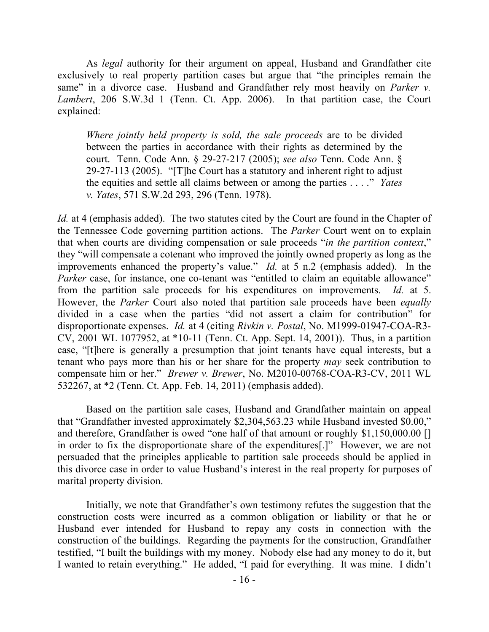As *legal* authority for their argument on appeal, Husband and Grandfather cite exclusively to real property partition cases but argue that "the principles remain the same" in a divorce case. Husband and Grandfather rely most heavily on *Parker v. Lambert*, 206 S.W.3d 1 (Tenn. Ct. App. 2006). In that partition case, the Court explained:

*Where jointly held property is sold, the sale proceeds* are to be divided between the parties in accordance with their rights as determined by the court. Tenn. Code Ann. § 29-27-217 (2005); *see also* Tenn. Code Ann. § 29-27-113 (2005). "[T]he Court has a statutory and inherent right to adjust the equities and settle all claims between or among the parties . . . ." *Yates v. Yates*, 571 S.W.2d 293, 296 (Tenn. 1978).

*Id.* at 4 (emphasis added). The two statutes cited by the Court are found in the Chapter of the Tennessee Code governing partition actions. The *Parker* Court went on to explain that when courts are dividing compensation or sale proceeds "*in the partition context*," they "will compensate a cotenant who improved the jointly owned property as long as the improvements enhanced the property's value." *Id.* at 5 n.2 (emphasis added). In the *Parker* case, for instance, one co-tenant was "entitled to claim an equitable allowance" from the partition sale proceeds for his expenditures on improvements. *Id.* at 5. However, the *Parker* Court also noted that partition sale proceeds have been *equally* divided in a case when the parties "did not assert a claim for contribution" for disproportionate expenses. *Id.* at 4 (citing *Rivkin v. Postal*, No. M1999-01947-COA-R3- CV, 2001 WL 1077952, at \*10-11 (Tenn. Ct. App. Sept. 14, 2001)). Thus, in a partition case, "[t]here is generally a presumption that joint tenants have equal interests, but a tenant who pays more than his or her share for the property *may* seek contribution to compensate him or her." *Brewer v. Brewer*, No. M2010-00768-COA-R3-CV, 2011 WL 532267, at \*2 (Tenn. Ct. App. Feb. 14, 2011) (emphasis added).

Based on the partition sale cases, Husband and Grandfather maintain on appeal that "Grandfather invested approximately \$2,304,563.23 while Husband invested \$0.00," and therefore, Grandfather is owed "one half of that amount or roughly \$1,150,000.00 [] in order to fix the disproportionate share of the expenditures[.]"However, we are not persuaded that the principles applicable to partition sale proceeds should be applied in this divorce case in order to value Husband's interest in the real property for purposes of marital property division.

Initially, we note that Grandfather's own testimony refutes the suggestion that the construction costs were incurred as a common obligation or liability or that he or Husband ever intended for Husband to repay any costs in connection with the construction of the buildings. Regarding the payments for the construction, Grandfather testified, "I built the buildings with my money. Nobody else had any money to do it, but I wanted to retain everything." He added, "I paid for everything. It was mine. I didn't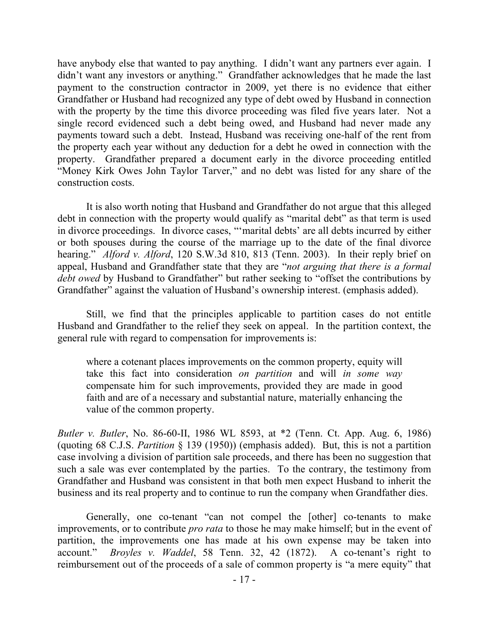have anybody else that wanted to pay anything. I didn't want any partners ever again. I didn't want any investors or anything." Grandfather acknowledges that he made the last payment to the construction contractor in 2009, yet there is no evidence that either Grandfather or Husband had recognized any type of debt owed by Husband in connection with the property by the time this divorce proceeding was filed five years later. Not a single record evidenced such a debt being owed, and Husband had never made any payments toward such a debt. Instead, Husband was receiving one-half of the rent from the property each year without any deduction for a debt he owed in connection with the property. Grandfather prepared a document early in the divorce proceeding entitled "Money Kirk Owes John Taylor Tarver," and no debt was listed for any share of the construction costs.

It is also worth noting that Husband and Grandfather do not argue that this alleged debt in connection with the property would qualify as "marital debt" as that term is used in divorce proceedings. In divorce cases, "'marital debts' are all debts incurred by either or both spouses during the course of the marriage up to the date of the final divorce hearing." *Alford v. Alford*, 120 S.W.3d 810, 813 (Tenn. 2003). In their reply brief on appeal, Husband and Grandfather state that they are "*not arguing that there is a formal debt owed* by Husband to Grandfather" but rather seeking to "offset the contributions by Grandfather" against the valuation of Husband's ownership interest. (emphasis added).

Still, we find that the principles applicable to partition cases do not entitle Husband and Grandfather to the relief they seek on appeal. In the partition context, the general rule with regard to compensation for improvements is:

where a cotenant places improvements on the common property, equity will take this fact into consideration *on partition* and will *in some way* compensate him for such improvements, provided they are made in good faith and are of a necessary and substantial nature, materially enhancing the value of the common property.

*Butler v. Butler*, No. 86-60-II, 1986 WL 8593, at \*2 (Tenn. Ct. App. Aug. 6, 1986) (quoting 68 C.J.S. *Partition* § 139 (1950)) (emphasis added). But, this is not a partition case involving a division of partition sale proceeds, and there has been no suggestion that such a sale was ever contemplated by the parties. To the contrary, the testimony from Grandfather and Husband was consistent in that both men expect Husband to inherit the business and its real property and to continue to run the company when Grandfather dies.

Generally, one co-tenant "can not compel the [other] co-tenants to make improvements, or to contribute *pro rata* to those he may make himself; but in the event of partition, the improvements one has made at his own expense may be taken into account." *Broyles v. Waddel*, 58 Tenn. 32, 42 (1872). A co-tenant's right to reimbursement out of the proceeds of a sale of common property is "a mere equity" that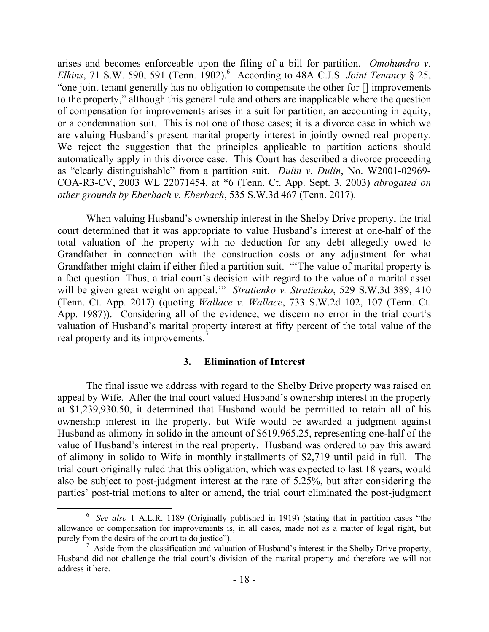arises and becomes enforceable upon the filing of a bill for partition. *Omohundro v. Elkins*, 71 S.W. 590, 591 (Tenn. 1902). <sup>6</sup> According to 48A C.J.S. *Joint Tenancy* § 25, "one joint tenant generally has no obligation to compensate the other for [] improvements to the property," although this general rule and others are inapplicable where the question of compensation for improvements arises in a suit for partition, an accounting in equity, or a condemnation suit. This is not one of those cases; it is a divorce case in which we are valuing Husband's present marital property interest in jointly owned real property. We reject the suggestion that the principles applicable to partition actions should automatically apply in this divorce case. This Court has described a divorce proceeding as "clearly distinguishable" from a partition suit. *Dulin v. Dulin*, No. W2001-02969- COA-R3-CV, 2003 WL 22071454, at \*6 (Tenn. Ct. App. Sept. 3, 2003) *abrogated on other grounds by Eberbach v. Eberbach*, 535 S.W.3d 467 (Tenn. 2017).

When valuing Husband's ownership interest in the Shelby Drive property, the trial court determined that it was appropriate to value Husband's interest at one-half of the total valuation of the property with no deduction for any debt allegedly owed to Grandfather in connection with the construction costs or any adjustment for what Grandfather might claim if either filed a partition suit. "'The value of marital property is a fact question. Thus, a trial court's decision with regard to the value of a marital asset will be given great weight on appeal.'" *Stratienko v. Stratienko*, 529 S.W.3d 389, 410 (Tenn. Ct. App. 2017) (quoting *Wallace v. Wallace*, 733 S.W.2d 102, 107 (Tenn. Ct. App. 1987)). Considering all of the evidence, we discern no error in the trial court's valuation of Husband's marital property interest at fifty percent of the total value of the real property and its improvements.<sup>7</sup>

#### **3. Elimination of Interest**

The final issue we address with regard to the Shelby Drive property was raised on appeal by Wife. After the trial court valued Husband's ownership interest in the property at \$1,239,930.50, it determined that Husband would be permitted to retain all of his ownership interest in the property, but Wife would be awarded a judgment against Husband as alimony in solido in the amount of \$619,965.25, representing one-half of the value of Husband's interest in the real property.Husband was ordered to pay this award of alimony in solido to Wife in monthly installments of \$2,719 until paid in full. The trial court originally ruled that this obligation, which was expected to last 18 years, would also be subject to post-judgment interest at the rate of 5.25%, but after considering the parties' post-trial motions to alter or amend, the trial court eliminated the post-judgment

 $\overline{a}$ 

<sup>&</sup>lt;sup>6</sup> See also 1 A.L.R. 1189 (Originally published in 1919) (stating that in partition cases "the allowance or compensation for improvements is, in all cases, made not as a matter of legal right, but purely from the desire of the court to do justice").

 $\frac{7}{1}$  Aside from the classification and valuation of Husband's interest in the Shelby Drive property, Husband did not challenge the trial court's division of the marital property and therefore we will not address it here.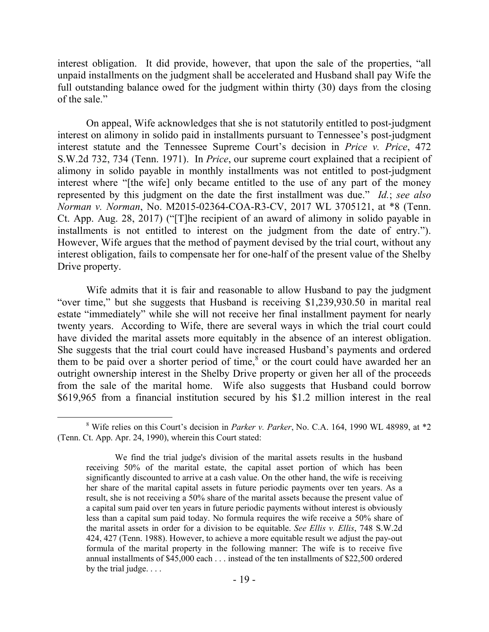interest obligation. It did provide, however, that upon the sale of the properties, "all unpaid installments on the judgment shall be accelerated and Husband shall pay Wife the full outstanding balance owed for the judgment within thirty (30) days from the closing of the sale."

On appeal, Wife acknowledges that she is not statutorily entitled to post-judgment interest on alimony in solido paid in installments pursuant to Tennessee's post-judgment interest statute and the Tennessee Supreme Court's decision in *Price v. Price*, 472 S.W.2d 732, 734 (Tenn. 1971). In *Price*, our supreme court explained that a recipient of alimony in solido payable in monthly installments was not entitled to post-judgment interest where "[the wife] only became entitled to the use of any part of the money represented by this judgment on the date the first installment was due." *Id.*; *see also Norman v. Norman*, No. M2015-02364-COA-R3-CV, 2017 WL 3705121, at \*8 (Tenn. Ct. App. Aug. 28, 2017) ("[T]he recipient of an award of alimony in solido payable in installments is not entitled to interest on the judgment from the date of entry."). However, Wife argues that the method of payment devised by the trial court, without any interest obligation, fails to compensate her for one-half of the present value of the Shelby Drive property.

Wife admits that it is fair and reasonable to allow Husband to pay the judgment "over time," but she suggests that Husband is receiving \$1,239,930.50 in marital real estate "immediately" while she will not receive her final installment payment for nearly twenty years. According to Wife, there are several ways in which the trial court could have divided the marital assets more equitably in the absence of an interest obligation. She suggests that the trial court could have increased Husband's payments and ordered them to be paid over a shorter period of time, $\delta$  or the court could have awarded her an outright ownership interest in the Shelby Drive property or given her all of the proceeds from the sale of the marital home. Wife also suggests that Husband could borrow \$619,965 from a financial institution secured by his \$1.2 million interest in the real

 $\overline{a}$ 

<sup>8</sup> Wife relies on this Court's decision in *Parker v. Parker*, No. C.A. 164, 1990 WL 48989, at \*2 (Tenn. Ct. App. Apr. 24, 1990), wherein this Court stated:

We find the trial judge's division of the marital assets results in the husband receiving 50% of the marital estate, the capital asset portion of which has been significantly discounted to arrive at a cash value. On the other hand, the wife is receiving her share of the marital capital assets in future periodic payments over ten years. As a result, she is not receiving a 50% share of the marital assets because the present value of a capital sum paid over ten years in future periodic payments without interest is obviously less than a capital sum paid today. No formula requires the wife receive a 50% share of the marital assets in order for a division to be equitable. *See Ellis v. Ellis*, 748 S.W.2d 424, 427 (Tenn. 1988). However, to achieve a more equitable result we adjust the pay-out formula of the marital property in the following manner: The wife is to receive five annual installments of \$45,000 each . . . instead of the ten installments of \$22,500 ordered by the trial judge. . . .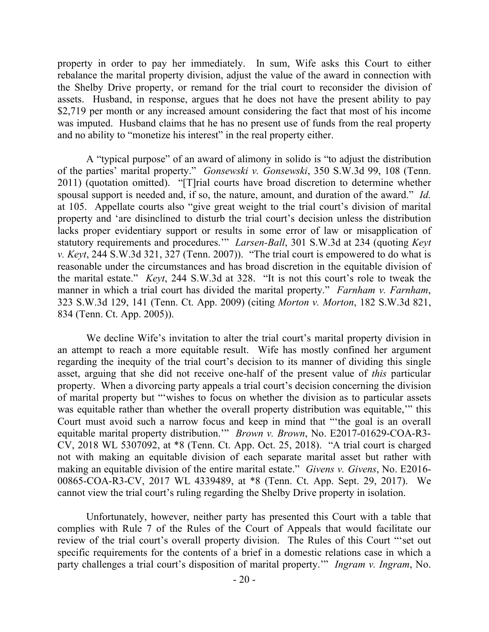property in order to pay her immediately. In sum, Wife asks this Court to either rebalance the marital property division, adjust the value of the award in connection with the Shelby Drive property, or remand for the trial court to reconsider the division of assets. Husband, in response, argues that he does not have the present ability to pay \$2,719 per month or any increased amount considering the fact that most of his income was imputed. Husband claims that he has no present use of funds from the real property and no ability to "monetize his interest" in the real property either.

A "typical purpose" of an award of alimony in solido is "to adjust the distribution of the parties' marital property." *Gonsewski v. Gonsewski*, 350 S.W.3d 99, 108 (Tenn. 2011) (quotation omitted). "[T]rial courts have broad discretion to determine whether spousal support is needed and, if so, the nature, amount, and duration of the award." *Id.*  at 105. Appellate courts also "give great weight to the trial court's division of marital property and 'are disinclined to disturb the trial court's decision unless the distribution lacks proper evidentiary support or results in some error of law or misapplication of statutory requirements and procedures.'" *Larsen-Ball*, 301 S.W.3d at 234 (quoting *Keyt v. Keyt*, 244 S.W.3d 321, 327 (Tenn. 2007)). "The trial court is empowered to do what is reasonable under the circumstances and has broad discretion in the equitable division of the marital estate." *Keyt*, 244 S.W.3d at 328. "It is not this court's role to tweak the manner in which a trial court has divided the marital property." *Farnham v. Farnham*, 323 S.W.3d 129, 141 (Tenn. Ct. App. 2009) (citing *Morton v. Morton*, 182 S.W.3d 821, 834 (Tenn. Ct. App. 2005)).

We decline Wife's invitation to alter the trial court's marital property division in an attempt to reach a more equitable result. Wife has mostly confined her argument regarding the inequity of the trial court's decision to its manner of dividing this single asset, arguing that she did not receive one-half of the present value of *this* particular property. When a divorcing party appeals a trial court's decision concerning the division of marital property but "'wishes to focus on whether the division as to particular assets was equitable rather than whether the overall property distribution was equitable,'" this Court must avoid such a narrow focus and keep in mind that "'the goal is an overall equitable marital property distribution.'" *Brown v. Brown*, No. E2017-01629-COA-R3- CV, 2018 WL 5307092, at \*8 (Tenn. Ct. App. Oct. 25, 2018). "A trial court is charged not with making an equitable division of each separate marital asset but rather with making an equitable division of the entire marital estate." *Givens v. Givens*, No. E2016- 00865-COA-R3-CV, 2017 WL 4339489, at \*8 (Tenn. Ct. App. Sept. 29, 2017). We cannot view the trial court's ruling regarding the Shelby Drive property in isolation.

Unfortunately, however, neither party has presented this Court with a table that complies with Rule 7 of the Rules of the Court of Appeals that would facilitate our review of the trial court's overall property division. The Rules of this Court "'set out specific requirements for the contents of a brief in a domestic relations case in which a party challenges a trial court's disposition of marital property.'" *Ingram v. Ingram*, No.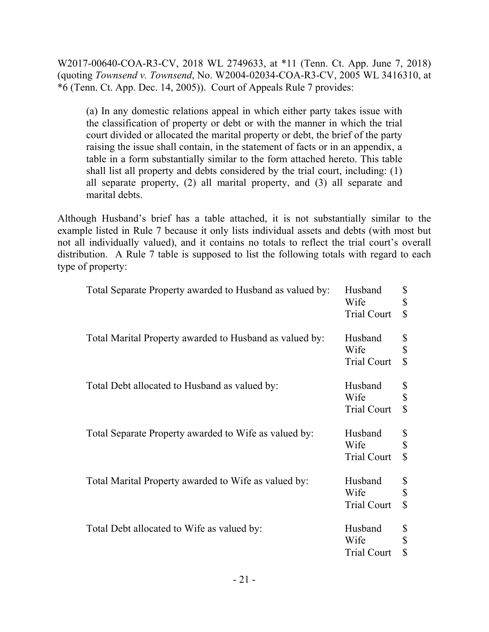W2017-00640-COA-R3-CV, 2018 WL 2749633, at \*11 (Tenn. Ct. App. June 7, 2018) (quoting *Townsend v. Townsend*, No. W2004-02034-COA-R3-CV, 2005 WL 3416310, at \*6 (Tenn. Ct. App. Dec. 14, 2005)). Court of Appeals Rule 7 provides:

(a) In any domestic relations appeal in which either party takes issue with the classification of property or debt or with the manner in which the trial court divided or allocated the marital property or debt, the brief of the party raising the issue shall contain, in the statement of facts or in an appendix, a table in a form substantially similar to the form attached hereto. This table shall list all property and debts considered by the trial court, including: (1) all separate property, (2) all marital property, and (3) all separate and marital debts.

Although Husband's brief has a table attached, it is not substantially similar to the example listed in Rule 7 because it only lists individual assets and debts (with most but not all individually valued), and it contains no totals to reflect the trial court's overall distribution. A Rule 7 table is supposed to list the following totals with regard to each type of property:

| Total Separate Property awarded to Husband as valued by: | Husband<br>Wife<br><b>Trial Court</b> | \$<br>\$<br>$\mathbb{S}$ |
|----------------------------------------------------------|---------------------------------------|--------------------------|
| Total Marital Property awarded to Husband as valued by:  | Husband<br>Wife<br><b>Trial Court</b> | \$<br>\$<br>\$           |
| Total Debt allocated to Husband as valued by:            | Husband<br>Wife<br><b>Trial Court</b> | \$<br>\$<br>$\mathbf S$  |
| Total Separate Property awarded to Wife as valued by:    | Husband<br>Wife<br><b>Trial Court</b> | \$<br>\$<br>$\mathbb{S}$ |
| Total Marital Property awarded to Wife as valued by:     | Husband<br>Wife<br><b>Trial Court</b> | \$<br>\$<br>$\mathbf S$  |
| Total Debt allocated to Wife as valued by:               | Husband<br>Wife<br><b>Trial Court</b> | \$<br>\$<br>\$           |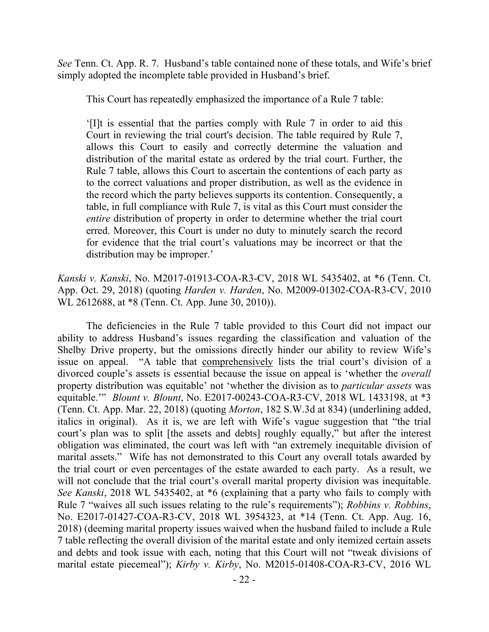*See* Tenn. Ct. App. R. 7. Husband's table contained none of these totals, and Wife's brief simply adopted the incomplete table provided in Husband's brief.

This Court has repeatedly emphasized the importance of a Rule 7 table:

'[I]t is essential that the parties comply with Rule 7 in order to aid this Court in reviewing the trial court's decision. The table required by Rule 7, allows this Court to easily and correctly determine the valuation and distribution of the marital estate as ordered by the trial court. Further, the Rule 7 table, allows this Court to ascertain the contentions of each party as to the correct valuations and proper distribution, as well as the evidence in the record which the party believes supports its contention. Consequently, a table, in full compliance with Rule 7, is vital as this Court must consider the *entire* distribution of property in order to determine whether the trial court erred. Moreover, this Court is under no duty to minutely search the record for evidence that the trial court's valuations may be incorrect or that the distribution may be improper.'

*Kanski v. Kanski*, No. M2017-01913-COA-R3-CV, 2018 WL 5435402, at \*6 (Tenn. Ct. App. Oct. 29, 2018) (quoting *Harden v. Harden*, No. M2009-01302-COA-R3-CV, 2010 WL 2612688, at \*8 (Tenn. Ct. App. June 30, 2010)).

The deficiencies in the Rule 7 table provided to this Court did not impact our ability to address Husband's issues regarding the classification and valuation of the Shelby Drive property, but the omissions directly hinder our ability to review Wife's issue on appeal. "A table that comprehensively lists the trial court's division of a divorced couple's assets is essential because the issue on appeal is 'whether the *overall* property distribution was equitable' not 'whether the division as to *particular assets* was equitable.'" *Blount v. Blount*, No. E2017-00243-COA-R3-CV, 2018 WL 1433198, at \*3 (Tenn. Ct. App. Mar. 22, 2018) (quoting *Morton*, 182 S.W.3d at 834) (underlining added, italics in original). As it is, we are left with Wife's vague suggestion that "the trial court's plan was to split [the assets and debts] roughly equally," but after the interest obligation was eliminated, the court was left with "an extremely inequitable division of marital assets." Wife has not demonstrated to this Court any overall totals awarded by the trial court or even percentages of the estate awarded to each party. As a result, we will not conclude that the trial court's overall marital property division was inequitable. *See Kanski*, 2018 WL 5435402, at \*6 (explaining that a party who fails to comply with Rule 7 "waives all such issues relating to the rule's requirements"); *Robbins v. Robbins*, No. E2017-01427-COA-R3-CV, 2018 WL 3954323, at \*14 (Tenn. Ct. App. Aug. 16, 2018) (deeming marital property issues waived when the husband failed to include a Rule 7 table reflecting the overall division of the marital estate and only itemized certain assets and debts and took issue with each, noting that this Court will not "tweak divisions of marital estate piecemeal"); *Kirby v. Kirby*, No. M2015-01408-COA-R3-CV, 2016 WL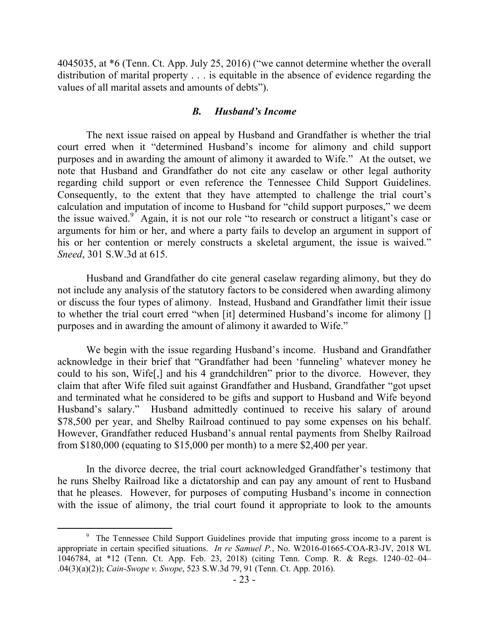4045035, at \*6 (Tenn. Ct. App. July 25, 2016) ("we cannot determine whether the overall distribution of marital property . . . is equitable in the absence of evidence regarding the values of all marital assets and amounts of debts").

#### *B. Husband's Income*

The next issue raised on appeal by Husband and Grandfather is whether the trial court erred when it "determined Husband's income for alimony and child support purposes and in awarding the amount of alimony it awarded to Wife." At the outset, we note that Husband and Grandfather do not cite any caselaw or other legal authority regarding child support or even reference the Tennessee Child Support Guidelines. Consequently, to the extent that they have attempted to challenge the trial court's calculation and imputation of income to Husband for "child support purposes," we deem the issue waived. $9^{\circ}$  Again, it is not our role "to research or construct a litigant's case or arguments for him or her, and where a party fails to develop an argument in support of his or her contention or merely constructs a skeletal argument, the issue is waived." *Sneed*, 301 S.W.3d at 615.

Husband and Grandfather do cite general caselaw regarding alimony, but they do not include any analysis of the statutory factors to be considered when awarding alimony or discuss the four types of alimony. Instead, Husband and Grandfather limit their issue to whether the trial court erred "when [it] determined Husband's income for alimony [] purposes and in awarding the amount of alimony it awarded to Wife."

We begin with the issue regarding Husband's income. Husband and Grandfather acknowledge in their brief that "Grandfather had been 'funneling' whatever money he could to his son, Wife[,] and his 4 grandchildren" prior to the divorce. However, they claim that after Wife filed suit against Grandfather and Husband, Grandfather "got upset and terminated what he considered to be gifts and support to Husband and Wife beyond Husband's salary." Husband admittedly continued to receive his salary of around \$78,500 per year, and Shelby Railroad continued to pay some expenses on his behalf. However, Grandfather reduced Husband's annual rental payments from Shelby Railroad from \$180,000 (equating to \$15,000 per month) to a mere \$2,400 per year.

In the divorce decree, the trial court acknowledged Grandfather's testimony that he runs Shelby Railroad like a dictatorship and can pay any amount of rent to Husband that he pleases. However, for purposes of computing Husband's income in connection with the issue of alimony, the trial court found it appropriate to look to the amounts

<sup>&</sup>lt;sup>9</sup> The Tennessee Child Support Guidelines provide that imputing gross income to a parent is appropriate in certain specified situations. *In re Samuel P.*, No. W2016-01665-COA-R3-JV, 2018 WL 1046784, at \*12 (Tenn. Ct. App. Feb. 23, 2018) (citing Tenn. Comp. R. & Regs. 1240–02–04– .04(3)(a)(2)); *Cain-Swope v. Swope*, 523 S.W.3d 79, 91 (Tenn. Ct. App. 2016).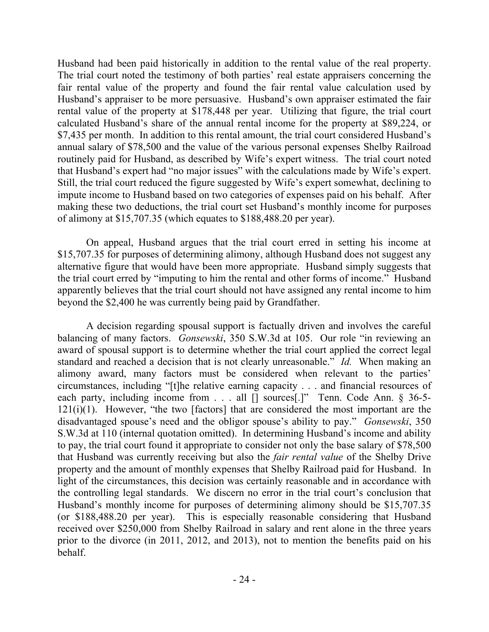Husband had been paid historically in addition to the rental value of the real property. The trial court noted the testimony of both parties' real estate appraisers concerning the fair rental value of the property and found the fair rental value calculation used by Husband's appraiser to be more persuasive. Husband's own appraiser estimated the fair rental value of the property at \$178,448 per year. Utilizing that figure, the trial court calculated Husband's share of the annual rental income for the property at \$89,224, or \$7,435 per month. In addition to this rental amount, the trial court considered Husband's annual salary of \$78,500 and the value of the various personal expenses Shelby Railroad routinely paid for Husband, as described by Wife's expert witness. The trial court noted that Husband's expert had "no major issues" with the calculations made by Wife's expert. Still, the trial court reduced the figure suggested by Wife's expert somewhat, declining to impute income to Husband based on two categories of expenses paid on his behalf. After making these two deductions, the trial court set Husband's monthly income for purposes of alimony at \$15,707.35 (which equates to \$188,488.20 per year).

On appeal, Husband argues that the trial court erred in setting his income at \$15,707.35 for purposes of determining alimony, although Husband does not suggest any alternative figure that would have been more appropriate. Husband simply suggests that the trial court erred by "imputing to him the rental and other forms of income." Husband apparently believes that the trial court should not have assigned any rental income to him beyond the \$2,400 he was currently being paid by Grandfather.

A decision regarding spousal support is factually driven and involves the careful balancing of many factors. *Gonsewski*, 350 S.W.3d at 105. Our role "in reviewing an award of spousal support is to determine whether the trial court applied the correct legal standard and reached a decision that is not clearly unreasonable." *Id.* When making an alimony award, many factors must be considered when relevant to the parties' circumstances, including "[t]he relative earning capacity . . . and financial resources of each party, including income from . . . all [] sources[.]" Tenn. Code Ann. § 36-5- $121(i)(1)$ . However, "the two [factors] that are considered the most important are the disadvantaged spouse's need and the obligor spouse's ability to pay." *Gonsewski*, 350 S.W.3d at 110 (internal quotation omitted). In determining Husband's income and ability to pay, the trial court found it appropriate to consider not only the base salary of \$78,500 that Husband was currently receiving but also the *fair rental value* of the Shelby Drive property and the amount of monthly expenses that Shelby Railroad paid for Husband. In light of the circumstances, this decision was certainly reasonable and in accordance with the controlling legal standards. We discern no error in the trial court's conclusion that Husband's monthly income for purposes of determining alimony should be \$15,707.35 (or \$188,488.20 per year). This is especially reasonable considering that Husband received over \$250,000 from Shelby Railroad in salary and rent alone in the three years prior to the divorce (in 2011, 2012, and 2013), not to mention the benefits paid on his behalf.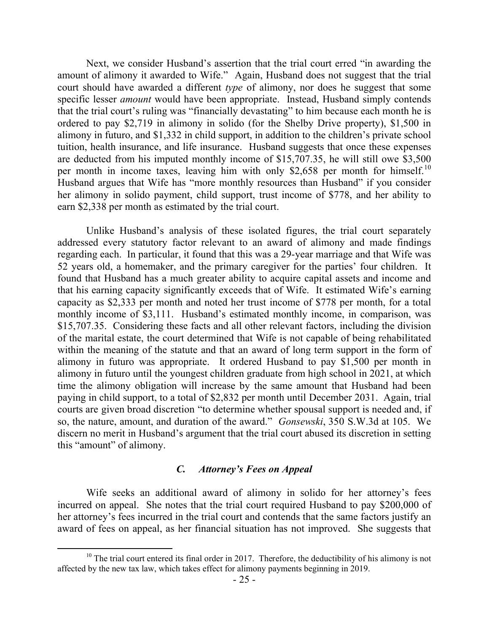Next, we consider Husband's assertion that the trial court erred "in awarding the amount of alimony it awarded to Wife." Again, Husband does not suggest that the trial court should have awarded a different *type* of alimony, nor does he suggest that some specific lesser *amount* would have been appropriate. Instead, Husband simply contends that the trial court's ruling was "financially devastating" to him because each month he is ordered to pay \$2,719 in alimony in solido (for the Shelby Drive property), \$1,500 in alimony in futuro, and \$1,332 in child support, in addition to the children's private school tuition, health insurance, and life insurance. Husband suggests that once these expenses are deducted from his imputed monthly income of \$15,707.35, he will still owe \$3,500 per month in income taxes, leaving him with only \$2,658 per month for himself.<sup>10</sup> Husband argues that Wife has "more monthly resources than Husband" if you consider her alimony in solido payment, child support, trust income of \$778, and her ability to earn \$2,338 per month as estimated by the trial court.

Unlike Husband's analysis of these isolated figures, the trial court separately addressed every statutory factor relevant to an award of alimony and made findings regarding each. In particular, it found that this was a 29-year marriage and that Wife was 52 years old, a homemaker, and the primary caregiver for the parties' four children. It found that Husband has a much greater ability to acquire capital assets and income and that his earning capacity significantly exceeds that of Wife. It estimated Wife's earning capacity as \$2,333 per month and noted her trust income of \$778 per month, for a total monthly income of \$3,111. Husband's estimated monthly income, in comparison, was \$15,707.35. Considering these facts and all other relevant factors, including the division of the marital estate, the court determined that Wife is not capable of being rehabilitated within the meaning of the statute and that an award of long term support in the form of alimony in futuro was appropriate. It ordered Husband to pay \$1,500 per month in alimony in futuro until the youngest children graduate from high school in 2021, at which time the alimony obligation will increase by the same amount that Husband had been paying in child support, to a total of \$2,832 per month until December 2031. Again, trial courts are given broad discretion "to determine whether spousal support is needed and, if so, the nature, amount, and duration of the award." *Gonsewski*, 350 S.W.3d at 105. We discern no merit in Husband's argument that the trial court abused its discretion in setting this "amount" of alimony.

#### *C. Attorney's Fees on Appeal*

Wife seeks an additional award of alimony in solido for her attorney's fees incurred on appeal. She notes that the trial court required Husband to pay \$200,000 of her attorney's fees incurred in the trial court and contends that the same factors justify an award of fees on appeal, as her financial situation has not improved. She suggests that

 $10$  The trial court entered its final order in 2017. Therefore, the deductibility of his alimony is not affected by the new tax law, which takes effect for alimony payments beginning in 2019.